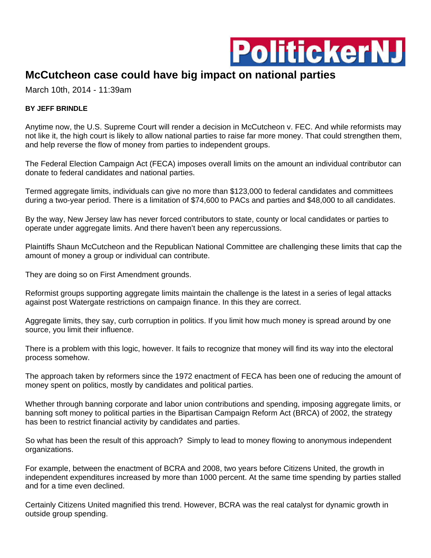

## **McCutcheon case could have big impact on national parties**

March 10th, 2014 - 11:39am

## **BY JEFF BRINDLE**

Anytime now, the U.S. Supreme Court will render a decision in McCutcheon v. FEC. And while reformists may not like it, the high court is likely to allow national parties to raise far more money. That could strengthen them, and help reverse the flow of money from parties to independent groups.

The Federal Election Campaign Act (FECA) imposes overall limits on the amount an individual contributor can donate to federal candidates and national parties.

Termed aggregate limits, individuals can give no more than \$123,000 to federal candidates and committees during a two-year period. There is a limitation of \$74,600 to PACs and parties and \$48,000 to all candidates.

By the way, New Jersey law has never forced contributors to state, county or local candidates or parties to operate under aggregate limits. And there haven't been any repercussions.

Plaintiffs Shaun McCutcheon and the Republican National Committee are challenging these limits that cap the amount of money a group or individual can contribute.

They are doing so on First Amendment grounds.

Reformist groups supporting aggregate limits maintain the challenge is the latest in a series of legal attacks against post Watergate restrictions on campaign finance. In this they are correct.

Aggregate limits, they say, curb corruption in politics. If you limit how much money is spread around by one source, you limit their influence.

There is a problem with this logic, however. It fails to recognize that money will find its way into the electoral process somehow.

The approach taken by reformers since the 1972 enactment of FECA has been one of reducing the amount of money spent on politics, mostly by candidates and political parties.

Whether through banning corporate and labor union contributions and spending, imposing aggregate limits, or banning soft money to political parties in the Bipartisan Campaign Reform Act (BRCA) of 2002, the strategy has been to restrict financial activity by candidates and parties.

So what has been the result of this approach? Simply to lead to money flowing to anonymous independent organizations.

For example, between the enactment of BCRA and 2008, two years before Citizens United, the growth in independent expenditures increased by more than 1000 percent. At the same time spending by parties stalled and for a time even declined.

Certainly Citizens United magnified this trend. However, BCRA was the real catalyst for dynamic growth in outside group spending.